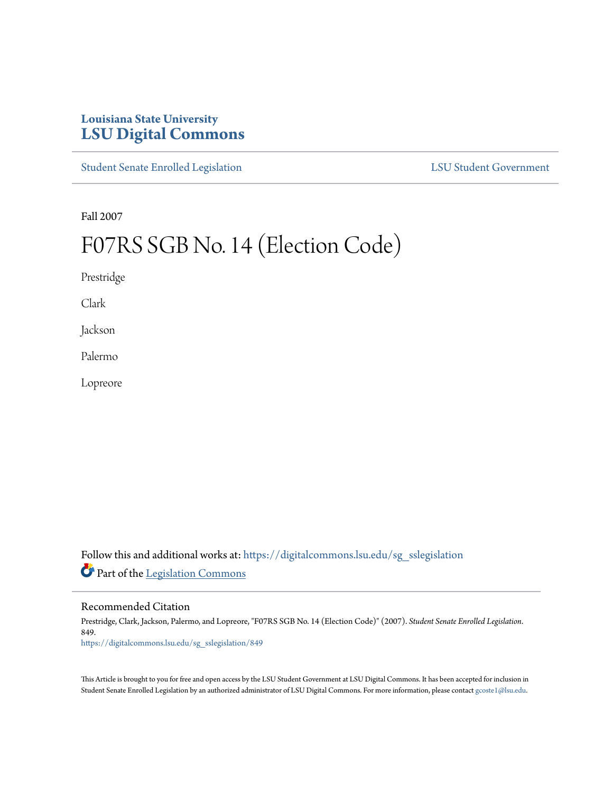## **Louisiana State University [LSU Digital Commons](https://digitalcommons.lsu.edu?utm_source=digitalcommons.lsu.edu%2Fsg_sslegislation%2F849&utm_medium=PDF&utm_campaign=PDFCoverPages)**

[Student Senate Enrolled Legislation](https://digitalcommons.lsu.edu/sg_sslegislation?utm_source=digitalcommons.lsu.edu%2Fsg_sslegislation%2F849&utm_medium=PDF&utm_campaign=PDFCoverPages) [LSU Student Government](https://digitalcommons.lsu.edu/sg?utm_source=digitalcommons.lsu.edu%2Fsg_sslegislation%2F849&utm_medium=PDF&utm_campaign=PDFCoverPages)

Fall 2007

# F07RS SGB No. 14 (Election Code)

Prestridge

Clark

Jackson

Palermo

Lopreore

Follow this and additional works at: [https://digitalcommons.lsu.edu/sg\\_sslegislation](https://digitalcommons.lsu.edu/sg_sslegislation?utm_source=digitalcommons.lsu.edu%2Fsg_sslegislation%2F849&utm_medium=PDF&utm_campaign=PDFCoverPages) Part of the [Legislation Commons](http://network.bepress.com/hgg/discipline/859?utm_source=digitalcommons.lsu.edu%2Fsg_sslegislation%2F849&utm_medium=PDF&utm_campaign=PDFCoverPages)

Recommended Citation

Prestridge, Clark, Jackson, Palermo, and Lopreore, "F07RS SGB No. 14 (Election Code)" (2007). *Student Senate Enrolled Legislation*. 849. [https://digitalcommons.lsu.edu/sg\\_sslegislation/849](https://digitalcommons.lsu.edu/sg_sslegislation/849?utm_source=digitalcommons.lsu.edu%2Fsg_sslegislation%2F849&utm_medium=PDF&utm_campaign=PDFCoverPages)

This Article is brought to you for free and open access by the LSU Student Government at LSU Digital Commons. It has been accepted for inclusion in Student Senate Enrolled Legislation by an authorized administrator of LSU Digital Commons. For more information, please contact [gcoste1@lsu.edu.](mailto:gcoste1@lsu.edu)